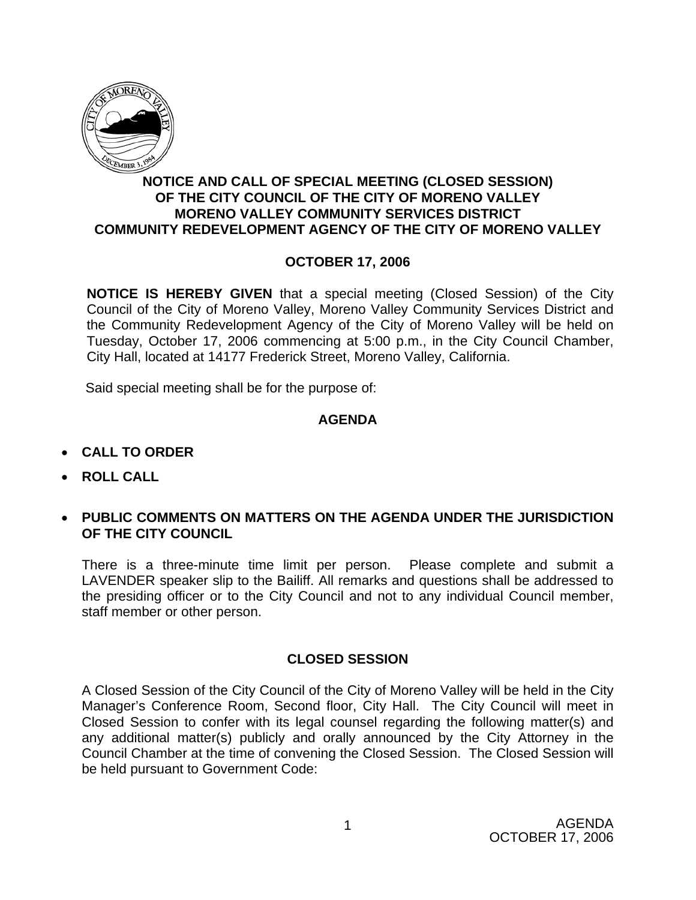

# **NOTICE AND CALL OF SPECIAL MEETING (CLOSED SESSION) OF THE CITY COUNCIL OF THE CITY OF MORENO VALLEY MORENO VALLEY COMMUNITY SERVICES DISTRICT COMMUNITY REDEVELOPMENT AGENCY OF THE CITY OF MORENO VALLEY**

# **OCTOBER 17, 2006**

**NOTICE IS HEREBY GIVEN** that a special meeting (Closed Session) of the City Council of the City of Moreno Valley, Moreno Valley Community Services District and the Community Redevelopment Agency of the City of Moreno Valley will be held on Tuesday, October 17, 2006 commencing at 5:00 p.m., in the City Council Chamber, City Hall, located at 14177 Frederick Street, Moreno Valley, California.

Said special meeting shall be for the purpose of:

## **AGENDA**

- **CALL TO ORDER**
- **ROLL CALL**
- **PUBLIC COMMENTS ON MATTERS ON THE AGENDA UNDER THE JURISDICTION OF THE CITY COUNCIL**

There is a three-minute time limit per person. Please complete and submit a LAVENDER speaker slip to the Bailiff. All remarks and questions shall be addressed to the presiding officer or to the City Council and not to any individual Council member, staff member or other person.

## **CLOSED SESSION**

A Closed Session of the City Council of the City of Moreno Valley will be held in the City Manager's Conference Room, Second floor, City Hall. The City Council will meet in Closed Session to confer with its legal counsel regarding the following matter(s) and any additional matter(s) publicly and orally announced by the City Attorney in the Council Chamber at the time of convening the Closed Session. The Closed Session will be held pursuant to Government Code: